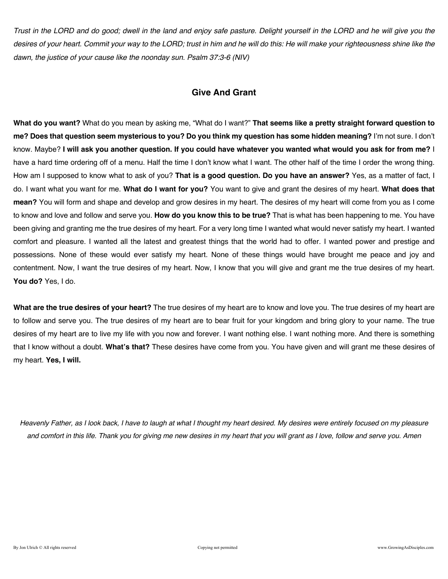*Trust in the LORD and do good; dwell in the land and enjoy safe pasture. Delight yourself in the LORD and he will give you the desires of your heart. Commit your way to the LORD; trust in him and he will do this: He will make your righteousness shine like the dawn, the justice of your cause like the noonday sun. Psalm 37:3-6 (NIV)* 

### **Give And Grant**

**What do you want?** What do you mean by asking me, "What do I want?" **That seems like a pretty straight forward question to me? Does that question seem mysterious to you? Do you think my question has some hidden meaning?** I'm not sure. I don't know. Maybe? **I will ask you another question. If you could have whatever you wanted what would you ask for from me?** I have a hard time ordering off of a menu. Half the time I don't know what I want. The other half of the time I order the wrong thing. How am I supposed to know what to ask of you? **That is a good question. Do you have an answer?** Yes, as a matter of fact, I do. I want what you want for me. **What do I want for you?** You want to give and grant the desires of my heart. **What does that mean?** You will form and shape and develop and grow desires in my heart. The desires of my heart will come from you as I come to know and love and follow and serve you. **How do you know this to be true?** That is what has been happening to me. You have been giving and granting me the true desires of my heart. For a very long time I wanted what would never satisfy my heart. I wanted comfort and pleasure. I wanted all the latest and greatest things that the world had to offer. I wanted power and prestige and possessions. None of these would ever satisfy my heart. None of these things would have brought me peace and joy and contentment. Now, I want the true desires of my heart. Now, I know that you will give and grant me the true desires of my heart. **You do?** Yes, I do.

**What are the true desires of your heart?** The true desires of my heart are to know and love you. The true desires of my heart are to follow and serve you. The true desires of my heart are to bear fruit for your kingdom and bring glory to your name. The true desires of my heart are to live my life with you now and forever. I want nothing else. I want nothing more. And there is something that I know without a doubt. **What's that?** These desires have come from you. You have given and will grant me these desires of my heart. **Yes, I will.**

*Heavenly Father, as I look back, I have to laugh at what I thought my heart desired. My desires were entirely focused on my pleasure and comfort in this life. Thank you for giving me new desires in my heart that you will grant as I love, follow and serve you. Amen*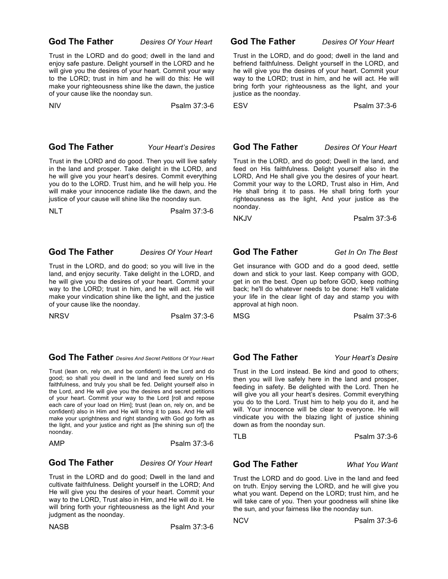### **God The Father** *Desires Of Your Heart*

Trust in the LORD and do good; dwell in the land and enjoy safe pasture. Delight yourself in the LORD and he will give you the desires of your heart. Commit your way to the LORD; trust in him and he will do this: He will make your righteousness shine like the dawn, the justice of your cause like the noonday sun.

NIV Psalm 37:3-6

### **God The Father** *Your Heart's Desires*

Trust in the LORD and do good. Then you will live safely in the land and prosper. Take delight in the LORD, and he will give you your heart's desires. Commit everything you do to the LORD. Trust him, and he will help you. He will make your innocence radiate like the dawn, and the justice of your cause will shine like the noonday sun.

NLT Psalm 37:3-6

### **God The Father** *Desires Of Your Heart*

Trust in the LORD, and do good; so you will live in the land, and enjoy security. Take delight in the LORD, and he will give you the desires of your heart. Commit your way to the LORD; trust in him, and he will act. He will make your vindication shine like the light, and the justice of your cause like the noonday.

NRSV Psalm 37:3-6

 **God The Father** *Desires And Secret Petitions Of Your Heart* 

Trust (lean on, rely on, and be confident) in the Lord and do good; so shall you dwell in the land and feed surely on His faithfulness, and truly you shall be fed. Delight yourself also in the Lord, and He will give you the desires and secret petitions of your heart. Commit your way to the Lord [roll and repose each care of your load on Him]; trust (lean on, rely on, and be confident) also in Him and He will bring it to pass. And He will make your uprightness and right standing with God go forth as the light, and your justice and right as [the shining sun of] the noonday.

AMP Psalm 37:3-6

### **God The Father** *Desires Of Your Heart*

Trust in the LORD and do good; Dwell in the land and cultivate faithfulness. Delight yourself in the LORD; And He will give you the desires of your heart. Commit your way to the LORD, Trust also in Him, and He will do it. He will bring forth your righteousness as the light And your judgment as the noonday.

NASB Psalm 37:3-6

**God The Father** *Desires Of Your Heart* 

Trust in the LORD, and do good; dwell in the land and befriend faithfulness. Delight yourself in the LORD, and he will give you the desires of your heart. Commit your way to the LORD; trust in him, and he will act. He will bring forth your righteousness as the light, and your justice as the noonday.

ESV Psalm 37:3-6

### **God The Father** *Desires Of Your Heart*

Trust in the LORD, and do good; Dwell in the land, and feed on His faithfulness. Delight yourself also in the LORD, And He shall give you the desires of your heart. Commit your way to the LORD, Trust also in Him, And He shall bring it to pass. He shall bring forth your righteousness as the light, And your justice as the noonday.

NKJV Psalm 37:3-6

### **God The Father** *Get In On The Best*

Get insurance with GOD and do a good deed, settle down and stick to your last. Keep company with GOD, get in on the best. Open up before GOD, keep nothing back; he'll do whatever needs to be done: He'll validate your life in the clear light of day and stamp you with approval at high noon.

MSG Psalm 37:3-6

### **God The Father** *Your Heart's Desire*

Trust in the Lord instead. Be kind and good to others; then you will live safely here in the land and prosper, feeding in safety. Be delighted with the Lord. Then he will give you all your heart's desires. Commit everything you do to the Lord. Trust him to help you do it, and he will. Your innocence will be clear to everyone. He will vindicate you with the blazing light of justice shining down as from the noonday sun.

TLB Psalm 37:3-6

### **God The Father** *What You Want*

Trust the LORD and do good. Live in the land and feed on truth. Enjoy serving the LORD, and he will give you what you want. Depend on the LORD; trust him, and he will take care of you. Then your goodness will shine like the sun, and your fairness like the noonday sun.

NCV Psalm 37:3-6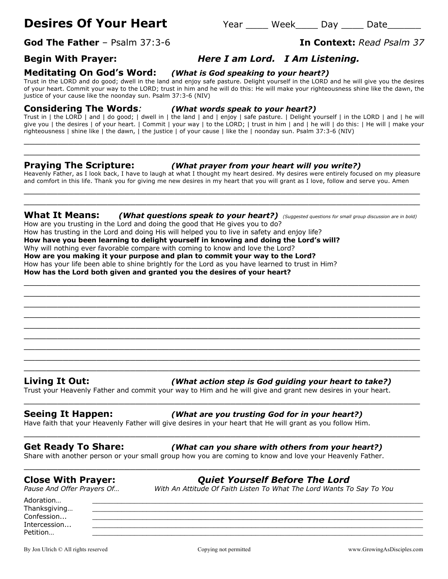# **Desires Of Your Heart** Thear Year Week Day Date

**God The Father** – Psalm 37:3-6 **In Context:** *Read Psalm 37* 

# **Begin With Prayer:** *Here I am Lord. I Am Listening.*

**Meditating On God's Word:** *(What is God speaking to your heart?)*

Trust in the LORD and do good; dwell in the land and enjoy safe pasture. Delight yourself in the LORD and he will give you the desires of your heart. Commit your way to the LORD; trust in him and he will do this: He will make your righteousness shine like the dawn, the justice of your cause like the noonday sun. Psalm 37:3-6 (NIV)

### **Considering The Words***: (What words speak to your heart?)*

Trust in | the LORD | and | do good; | dwell in | the land | and | enjoy | safe pasture. | Delight yourself | in the LORD | and | he will give you | the desires | of your heart. | Commit | your way | to the LORD; | trust in him | and | he will | do this: | He will | make your righteousness | shine like | the dawn, | the justice | of your cause | like the | noonday sun. Psalm 37:3-6 (NIV)

\_\_\_\_\_\_\_\_\_\_\_\_\_\_\_\_\_\_\_\_\_\_\_\_\_\_\_\_\_\_\_\_\_\_\_\_\_\_\_\_\_\_\_\_\_\_\_\_\_\_\_\_\_\_\_\_\_\_\_\_\_\_\_\_\_\_\_\_\_\_\_ \_\_\_\_\_\_\_\_\_\_\_\_\_\_\_\_\_\_\_\_\_\_\_\_\_\_\_\_\_\_\_\_\_\_\_\_\_\_\_\_\_\_\_\_\_\_\_\_\_\_\_\_\_\_\_\_\_\_\_\_\_\_\_\_\_\_\_\_\_\_\_

### **Praying The Scripture:** *(What prayer from your heart will you write?)*

Heavenly Father, as I look back, I have to laugh at what I thought my heart desired. My desires were entirely focused on my pleasure and comfort in this life. Thank you for giving me new desires in my heart that you will grant as I love, follow and serve you. Amen \_\_\_\_\_\_\_\_\_\_\_\_\_\_\_\_\_\_\_\_\_\_\_\_\_\_\_\_\_\_\_\_\_\_\_\_\_\_\_\_\_\_\_\_\_\_\_\_\_\_\_\_\_\_\_\_\_\_\_\_\_\_\_\_\_\_\_\_\_\_\_

\_\_\_\_\_\_\_\_\_\_\_\_\_\_\_\_\_\_\_\_\_\_\_\_\_\_\_\_\_\_\_\_\_\_\_\_\_\_\_\_\_\_\_\_\_\_\_\_\_\_\_\_\_\_\_\_\_\_\_\_\_\_\_\_\_\_\_\_\_\_\_

### **What It Means:** *(What questions speak to your heart?) (Suggested questions for small group discussion are in bold)*

How are you trusting in the Lord and doing the good that He gives you to do? How has trusting in the Lord and doing His will helped you to live in safety and enjoy life? **How have you been learning to delight yourself in knowing and doing the Lord's will?** Why will nothing ever favorable compare with coming to know and love the Lord? **How are you making it your purpose and plan to commit your way to the Lord?** How has your life been able to shine brightly for the Lord as you have learned to trust in Him? **How has the Lord both given and granted you the desires of your heart?**

\_\_\_\_\_\_\_\_\_\_\_\_\_\_\_\_\_\_\_\_\_\_\_\_\_\_\_\_\_\_\_\_\_\_\_\_\_\_\_\_\_\_\_\_\_\_\_\_\_\_\_\_\_\_\_\_\_\_\_\_\_\_\_\_\_\_\_\_\_\_\_ \_\_\_\_\_\_\_\_\_\_\_\_\_\_\_\_\_\_\_\_\_\_\_\_\_\_\_\_\_\_\_\_\_\_\_\_\_\_\_\_\_\_\_\_\_\_\_\_\_\_\_\_\_\_\_\_\_\_\_\_\_\_\_\_\_\_\_\_\_\_\_ \_\_\_\_\_\_\_\_\_\_\_\_\_\_\_\_\_\_\_\_\_\_\_\_\_\_\_\_\_\_\_\_\_\_\_\_\_\_\_\_\_\_\_\_\_\_\_\_\_\_\_\_\_\_\_\_\_\_\_\_\_\_\_\_\_\_\_\_\_\_\_ \_\_\_\_\_\_\_\_\_\_\_\_\_\_\_\_\_\_\_\_\_\_\_\_\_\_\_\_\_\_\_\_\_\_\_\_\_\_\_\_\_\_\_\_\_\_\_\_\_\_\_\_\_\_\_\_\_\_\_\_\_\_\_\_\_\_\_\_\_\_\_ \_\_\_\_\_\_\_\_\_\_\_\_\_\_\_\_\_\_\_\_\_\_\_\_\_\_\_\_\_\_\_\_\_\_\_\_\_\_\_\_\_\_\_\_\_\_\_\_\_\_\_\_\_\_\_\_\_\_\_\_\_\_\_\_\_\_\_\_\_\_\_ \_\_\_\_\_\_\_\_\_\_\_\_\_\_\_\_\_\_\_\_\_\_\_\_\_\_\_\_\_\_\_\_\_\_\_\_\_\_\_\_\_\_\_\_\_\_\_\_\_\_\_\_\_\_\_\_\_\_\_\_\_\_\_\_\_\_\_\_\_\_\_  $\_$  , and the set of the set of the set of the set of the set of the set of the set of the set of the set of the set of the set of the set of the set of the set of the set of the set of the set of the set of the set of th  $\_$  , and the set of the set of the set of the set of the set of the set of the set of the set of the set of the set of the set of the set of the set of the set of the set of the set of the set of the set of the set of th  $\_$  . The contribution of the contribution of  $\mathcal{L}_1$  ,  $\mathcal{L}_2$  ,  $\mathcal{L}_3$  ,  $\mathcal{L}_4$  ,  $\mathcal{L}_5$  ,  $\mathcal{L}_6$  ,  $\mathcal{L}_7$  ,  $\mathcal{L}_8$  ,  $\mathcal{L}_9$  ,  $\mathcal{L}_1$  ,  $\mathcal{L}_2$  ,  $\mathcal{L}_3$  ,  $\mathcal{L}_5$  ,  $\mathcal{L}_6$  ,  $\mathcal{L}_$ 

### **Living It Out:** *(What action step is God guiding your heart to take?)*

Trust your Heavenly Father and commit your way to Him and he will give and grant new desires in your heart.

\_\_\_\_\_\_\_\_\_\_\_\_\_\_\_\_\_\_\_\_\_\_\_\_\_\_\_\_\_\_\_\_\_\_\_\_\_\_\_\_\_\_\_\_\_\_\_\_\_\_\_\_\_\_\_\_\_\_\_\_\_\_\_\_\_\_\_\_\_\_\_

\_\_\_\_\_\_\_\_\_\_\_\_\_\_\_\_\_\_\_\_\_\_\_\_\_\_\_\_\_\_\_\_\_\_\_\_\_\_\_\_\_\_\_\_\_\_\_\_\_\_\_\_\_\_\_\_\_\_\_\_\_\_\_\_\_\_\_\_\_\_\_

\_\_\_\_\_\_\_\_\_\_\_\_\_\_\_\_\_\_\_\_\_\_\_\_\_\_\_\_\_\_\_\_\_\_\_\_\_\_\_\_\_\_\_\_\_\_\_\_\_\_\_\_\_\_\_\_\_\_\_\_\_\_\_\_\_\_\_\_\_\_\_

### **Seeing It Happen:** *(What are you trusting God for in your heart?)*

Have faith that your Heavenly Father will give desires in your heart that He will grant as you follow Him.

### **Get Ready To Share:** *(What can you share with others from your heart?)*

Share with another person or your small group how you are coming to know and love your Heavenly Father.

# **Close With Prayer:** *Quiet Yourself Before The Lord*

*Pause And Offer Prayers Of… With An Attitude Of Faith Listen To What The Lord Wants To Say To You*

Adoration… \_\_\_\_\_\_\_\_\_\_\_\_\_\_\_\_\_\_\_\_\_\_\_\_\_\_\_\_\_\_\_\_\_\_\_\_\_\_\_\_\_\_\_\_\_\_\_\_\_\_\_\_\_\_\_\_\_\_\_\_\_\_\_\_\_\_\_\_\_\_\_\_\_\_\_\_\_\_\_ Thanksgiving...  $\textsf{Confession...}\qquad \qquad \underline{\hspace{2.5cm}}$ Intercession... \_\_\_\_\_\_\_\_\_\_\_\_\_\_\_\_\_\_\_\_\_\_\_\_\_\_\_\_\_\_\_\_\_\_\_\_\_\_\_\_\_\_\_\_\_\_\_\_\_\_\_\_\_\_\_\_\_\_\_\_\_\_\_\_\_\_\_\_\_\_\_\_\_\_\_\_\_\_\_ Petition… \_\_\_\_\_\_\_\_\_\_\_\_\_\_\_\_\_\_\_\_\_\_\_\_\_\_\_\_\_\_\_\_\_\_\_\_\_\_\_\_\_\_\_\_\_\_\_\_\_\_\_\_\_\_\_\_\_\_\_\_\_\_\_\_\_\_\_\_\_\_\_\_\_\_\_\_\_\_\_

By Jon Ulrich © All rights reserved compared copying not permitted www.GrowingAsDisciples.com